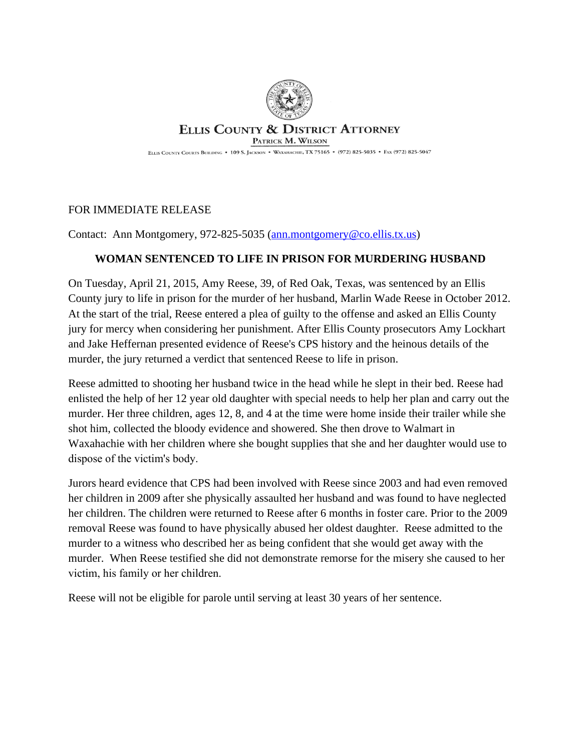

## **ELLIS COUNTY & DISTRICT ATTORNEY** PATRICK M. WILSON

ELLIS COUNTY COURTS BUILDING . 109 S. JACKSON . WAXAHACHIE, TX 75165 . (972) 825-5035 . FAX (972) 825-5047

## FOR IMMEDIATE RELEASE

Contact: Ann Montgomery, 972-825-5035 ([ann.montgomery@co.ellis.tx.us](mailto:ann.montgomery@co.ellis.tx.us))

## **WOMAN SENTENCED TO LIFE IN PRISON FOR MURDERING HUSBAND**

On Tuesday, April 21, 2015, Amy Reese, 39, of Red Oak, Texas, was sentenced by an Ellis County jury to life in prison for the murder of her husband, Marlin Wade Reese in October 2012. At the start of the trial, Reese entered a plea of guilty to the offense and asked an Ellis County jury for mercy when considering her punishment. After Ellis County prosecutors Amy Lockhart and Jake Heffernan presented evidence of Reese's CPS history and the heinous details of the murder, the jury returned a verdict that sentenced Reese to life in prison.

Reese admitted to shooting her husband twice in the head while he slept in their bed. Reese had enlisted the help of her 12 year old daughter with special needs to help her plan and carry out the murder. Her three children, ages 12, 8, and 4 at the time were home inside their trailer while she shot him, collected the bloody evidence and showered. She then drove to Walmart in Waxahachie with her children where she bought supplies that she and her daughter would use to dispose of the victim's body.

Jurors heard evidence that CPS had been involved with Reese since 2003 and had even removed her children in 2009 after she physically assaulted her husband and was found to have neglected her children. The children were returned to Reese after 6 months in foster care. Prior to the 2009 removal Reese was found to have physically abused her oldest daughter. Reese admitted to the murder to a witness who described her as being confident that she would get away with the murder. When Reese testified she did not demonstrate remorse for the misery she caused to her victim, his family or her children.

Reese will not be eligible for parole until serving at least 30 years of her sentence.